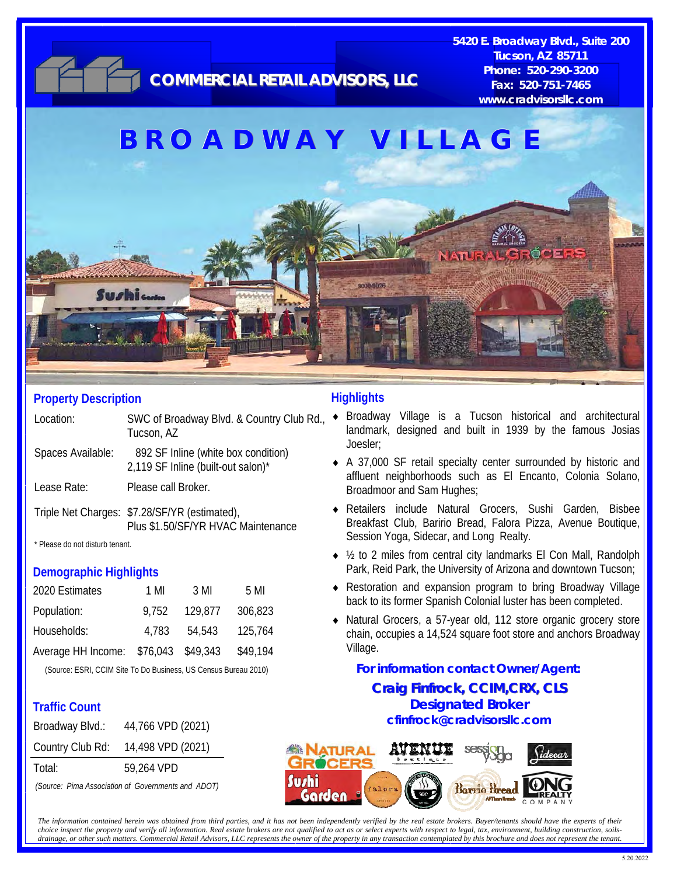

#### **Property Description**

Location: SWC of Broadway Blvd. & Country Club Rd., Tucson, AZ

Spaces Available: 892 SF Inline (white box condition) 2,119 SF Inline (built-out salon)\*

Lease Rate: Please call Broker.

Triple Net Charges: \$7.28/SF/YR (estimated), Plus \$1.50/SF/YR HVAC Maintenance

\* Please do not disturb tenant.

#### **Demographic Highlights**

| 2020 Estimates     | 1 MI     | 3 MI     | 5 MI     |
|--------------------|----------|----------|----------|
| Population:        | 9.752    | 129.877  | 306,823  |
| Households:        | 4.783    | 54.543   | 125,764  |
| Average HH Income: | \$76,043 | \$49,343 | \$49,194 |

(Source: ESRI, CCIM Site To Do Business, US Census Bureau 2010)

### **Traffic Count**

| 44,766 VPD (2021) |
|-------------------|
| 14,498 VPD (2021) |
| 59,264 VPD        |
|                   |

*(Source: Pima Association of Governments and ADOT)* 

### **Highlights**

- Broadway Village is a Tucson historical and architectural landmark, designed and built in 1939 by the famous Josias Joesler;
- A 37,000 SF retail specialty center surrounded by historic and affluent neighborhoods such as El Encanto, Colonia Solano, Broadmoor and Sam Hughes;
- Retailers include Natural Grocers, Sushi Garden, Bisbee Breakfast Club, Baririo Bread, Falora Pizza, Avenue Boutique, Session Yoga, Sidecar, and Long Realty.
- ◆ ½ to 2 miles from central city landmarks El Con Mall, Randolph Park, Reid Park, the University of Arizona and downtown Tucson;
- Restoration and expansion program to bring Broadway Village back to its former Spanish Colonial luster has been completed.
- Natural Grocers, a 57-year old, 112 store organic grocery store chain, occupies a 14,524 square foot store and anchors Broadway Village.

#### **Craig Finfrock, CCIM,CRX, CLS Craig CCIM,CRX, CLS Designated Broker cfinfrock@cradvisorsllc.com For information contact Owner/Agent:**



*The information contained herein was obtained from third parties, and it has not been independently verified by the real estate brokers. Buyer/tenants should have the experts of their choice inspect the property and verify all information. Real estate brokers are not qualified to act as or select experts with respect to legal, tax, environment, building construction, soilsdrainage, or other such matters. Commercial Retail Advisors, LLC represents the owner of the property in any transaction contemplated by this brochure and does not represent the tenant.*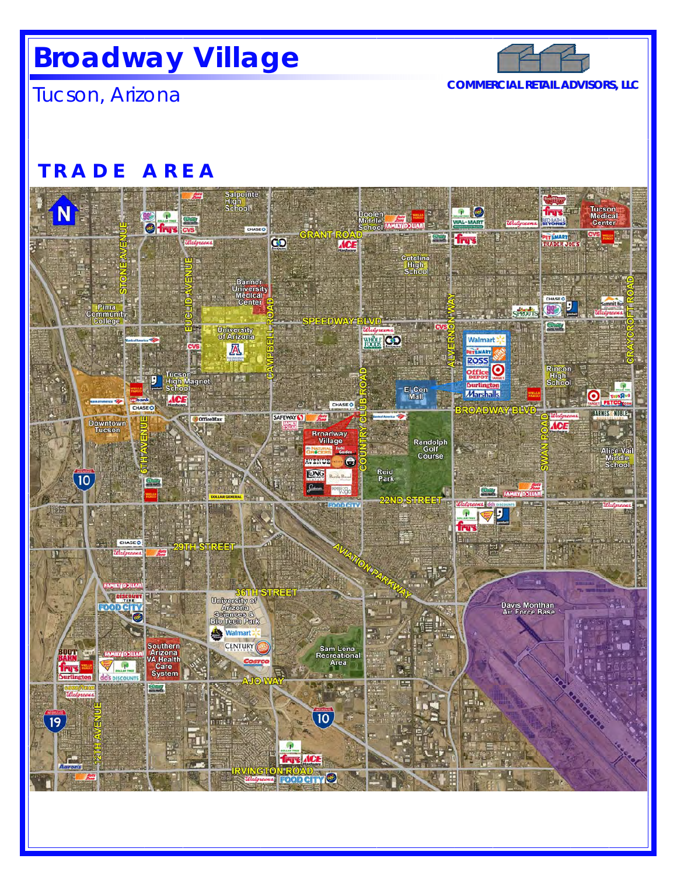# **Broadway Village**



Tucson, Arizona **COMMERCIAL RETAIL ADVISORS, LLC**

## **TRADE AREA**

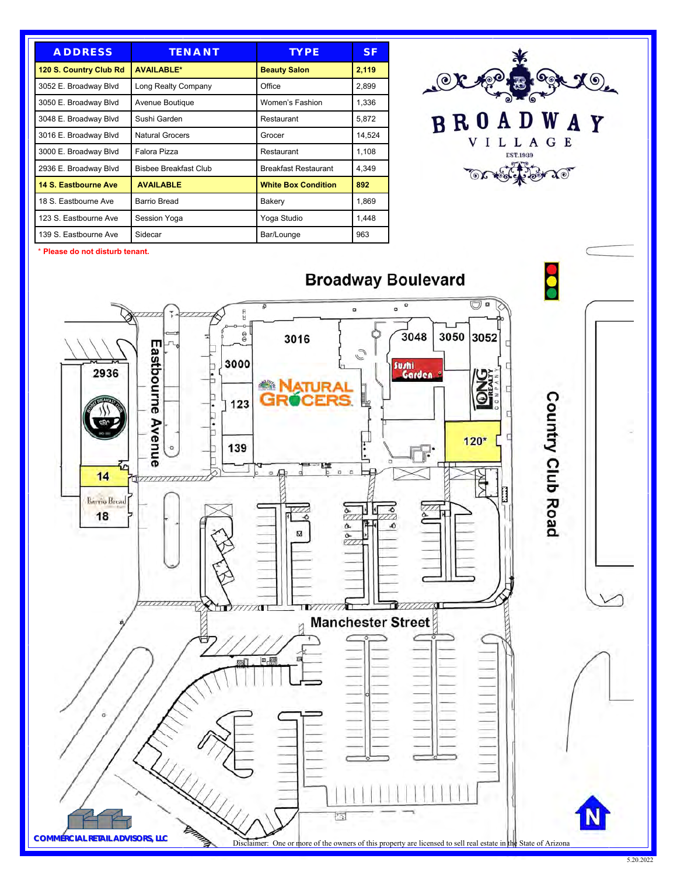| <b>ADDRESS</b>         | <b>TENANT</b>          | <b>TYPE</b>                 | S F    |
|------------------------|------------------------|-----------------------------|--------|
| 120 S. Country Club Rd | <b>AVAILABLE*</b>      | <b>Beauty Salon</b>         | 2,119  |
| 3052 E. Broadway Blvd  | Long Realty Company    | Office                      | 2,899  |
| 3050 E. Broadway Blvd  | Avenue Boutique        | Women's Fashion             | 1,336  |
| 3048 E. Broadway Blvd  | Sushi Garden           | Restaurant                  | 5,872  |
| 3016 E. Broadway Blvd  | <b>Natural Grocers</b> | Grocer                      | 14,524 |
| 3000 E. Broadway Blvd  | Falora Pizza           | Restaurant                  | 1,108  |
| 2936 E. Broadway Blvd  | Bisbee Breakfast Club  | <b>Breakfast Restaurant</b> | 4.349  |
| 14 S. Eastbourne Ave   | <b>AVAILABLE</b>       | <b>White Box Condition</b>  | 892    |
| 18 S. Eastbourne Ave   | Barrio Bread           | Bakery                      | 1,869  |
| 123 S. Eastbourne Ave  | Session Yoga           | Yoga Studio                 | 1,448  |
| 139 S. Eastbourne Ave  | Sidecar                | Bar/Lounge                  | 963    |



\* **Please do not disturb tenant.**

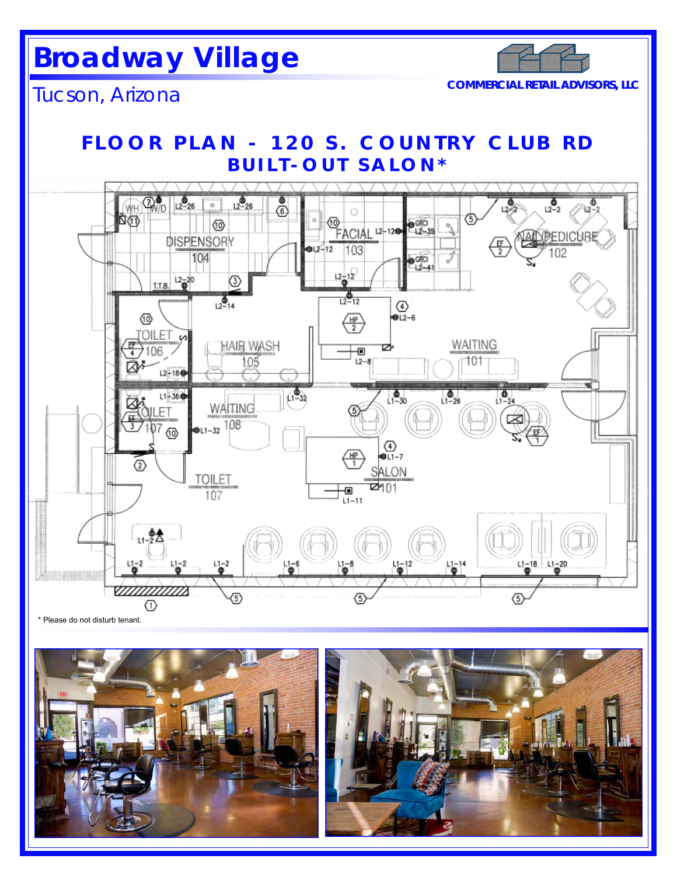# **Broadway Village**



Tucson, Arizona **COMMERCIAL RETAIL ADVISORS, LLC**

## **FLOOR PLAN - 120 S. COUNTRY CLUB RD BUILT-OUT SALON\***